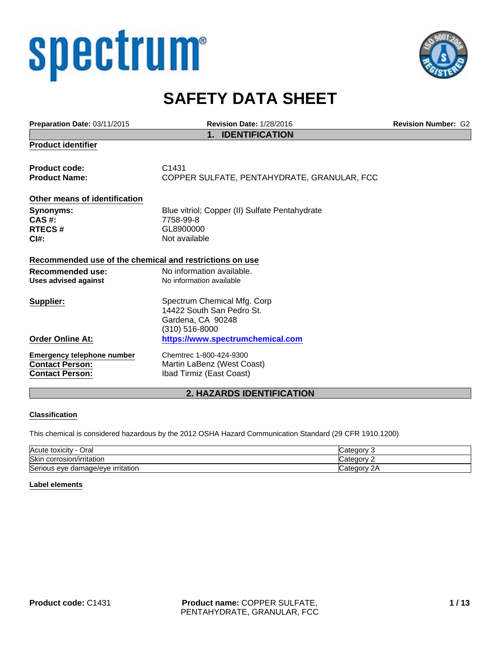# spectrum®



# **SAFETY DATA SHEET**

| Preparation Date: 03/11/2015                            | <b>Revision Date: 1/28/2016</b>                | <b>Revision Number: G2</b> |
|---------------------------------------------------------|------------------------------------------------|----------------------------|
|                                                         | <b>IDENTIFICATION</b><br>$\mathbf 1$ .         |                            |
| <b>Product identifier</b>                               |                                                |                            |
| <b>Product code:</b>                                    | C1431                                          |                            |
| <b>Product Name:</b>                                    | COPPER SULFATE, PENTAHYDRATE, GRANULAR, FCC    |                            |
| Other means of identification                           |                                                |                            |
| <b>Synonyms:</b>                                        | Blue vitriol; Copper (II) Sulfate Pentahydrate |                            |
| CAS #:                                                  | 7758-99-8                                      |                            |
| <b>RTECS#</b>                                           | GL8900000                                      |                            |
| $C$ <sub>1#:</sub>                                      | Not available                                  |                            |
| Recommended use of the chemical and restrictions on use |                                                |                            |
| Recommended use:                                        | No information available.                      |                            |
| <b>Uses advised against</b>                             | No information available                       |                            |
| Supplier:                                               | Spectrum Chemical Mfg. Corp                    |                            |
|                                                         | 14422 South San Pedro St.                      |                            |
|                                                         | Gardena, CA 90248                              |                            |
|                                                         | (310) 516-8000                                 |                            |
| <b>Order Online At:</b>                                 | https://www.spectrumchemical.com               |                            |
| <b>Emergency telephone number</b>                       | Chemtrec 1-800-424-9300                        |                            |
| <b>Contact Person:</b>                                  | Martin LaBenz (West Coast)                     |                            |
| <b>Contact Person:</b>                                  | Ibad Tirmiz (East Coast)                       |                            |
|                                                         | A ULTARDO IDELITIEIQATIQU                      |                            |

# **2. HAZARDS IDENTIFICATION**

#### **Classification**

This chemical is considered hazardous by the 2012 OSHA Hazard Communication Standard (29 CFR 1910.1200)

| Acute<br>-<br>Oral<br>toxicity       | Categor      |
|--------------------------------------|--------------|
| <b>Skin</b><br>corrosion/irritation  | Categor      |
| Serious eve<br>damage/eve irritation | Categor<br>∠ |

#### **Label elements**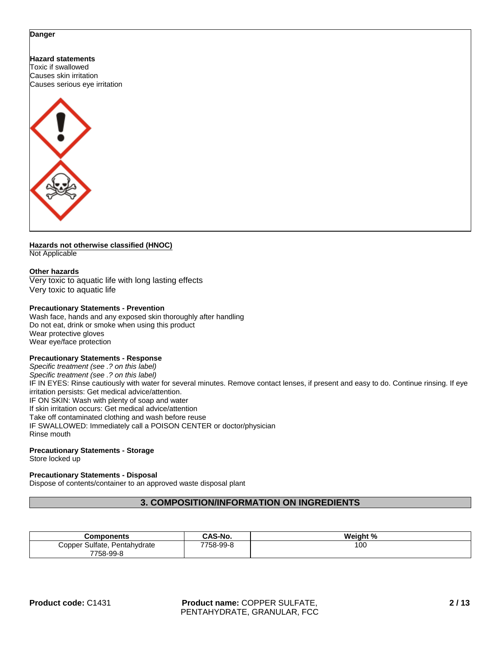#### **Danger**

**Hazard statements** Toxic if swallowed Causes skin irritation Causes serious eye irritation



#### **Hazards not otherwise classified (HNOC)** Not Applicable

# **Other hazards**

Very toxic to aquatic life with long lasting effects Very toxic to aquatic life

#### **Precautionary Statements - Prevention**

Wash face, hands and any exposed skin thoroughly after handling Do not eat, drink or smoke when using this product Wear protective gloves Wear eye/face protection

#### **Precautionary Statements - Response**

*Specific treatment (see .? on this label) Specific treatment (see .? on this label)* IF IN EYES: Rinse cautiously with water for several minutes. Remove contact lenses, if present and easy to do. Continue rinsing. If eye irritation persists: Get medical advice/attention. IF ON SKIN: Wash with plenty of soap and water If skin irritation occurs: Get medical advice/attention Take off contaminated clothing and wash before reuse IF SWALLOWED: Immediately call a POISON CENTER or doctor/physician Rinse mouth

#### **Precautionary Statements - Storage**

Store locked up

#### **Precautionary Statements - Disposal**

Dispose of contents/container to an approved waste disposal plant

# **3. COMPOSITION/INFORMATION ON INGREDIENTS**

| Components                         | CAS-No.   | Weight % |
|------------------------------------|-----------|----------|
| Sulfate,<br>Pentahydrate<br>Copper | 7758-99-8 | 100      |
| 7758-99-8                          |           |          |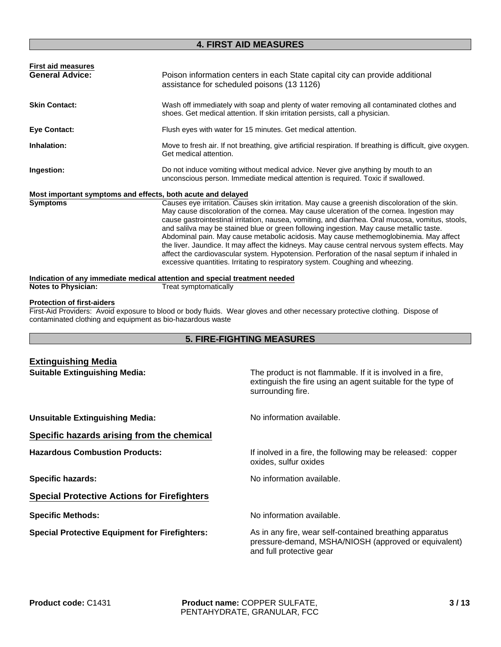# **4. FIRST AID MEASURES**

| <b>First aid measures</b> |                                                                                                                                                                                            |
|---------------------------|--------------------------------------------------------------------------------------------------------------------------------------------------------------------------------------------|
| <b>General Advice:</b>    | Poison information centers in each State capital city can provide additional<br>assistance for scheduled poisons (13 1126)                                                                 |
| <b>Skin Contact:</b>      | Wash off immediately with soap and plenty of water removing all contaminated clothes and<br>shoes. Get medical attention. If skin irritation persists, call a physician.                   |
| <b>Eye Contact:</b>       | Flush eyes with water for 15 minutes. Get medical attention.                                                                                                                               |
| Inhalation:               | Move to fresh air. If not breathing, give artificial respiration. If breathing is difficult, give oxygen.<br>Get medical attention.                                                        |
| Ingestion:                | Do not induce vomiting without medical advice. Never give anything by mouth to an<br>unconscious person. Immediate medical attention is required. Toxic if swallowed.                      |
|                           | Most important symptoms and effects, both acute and delayed                                                                                                                                |
| <b>Symptoms</b>           | Causes eye irritation. Causes skin irritation. May cause a greenish discoloration of the skin.<br>May cause discoloration of the cornea. May cause ulceration of the cornea. Ingestion may |

cause gastrointestinal irritation, nausea, vomiting, and diarrhea. Oral mucosa, vomitus, stools, and salilva may be stained blue or green following ingestion. May cause metallic taste. Abdominal pain. May cause metabolic acidosis. May cause methemoglobinemia. May affect the liver. Jaundice. It may affect the kidneys. May cause central nervous system effects. May affect the cardiovascular system. Hypotension. Perforation of the nasal septum if inhaled in excessive quantities. Irritating to respiratory system. Coughing and wheezing.

**Notes to Physician:** Treat symptomatically

#### **Protection of first-aiders**

First-Aid Providers: Avoid exposure to blood or body fluids. Wear gloves and other necessary protective clothing. Dispose of contaminated clothing and equipment as bio-hazardous waste

# **5. FIRE-FIGHTING MEASURES**

| <b>Extinguishing Media</b>                            |                                                                                                                                                |  |
|-------------------------------------------------------|------------------------------------------------------------------------------------------------------------------------------------------------|--|
| <b>Suitable Extinguishing Media:</b>                  | The product is not flammable. If it is involved in a fire,<br>extinguish the fire using an agent suitable for the type of<br>surrounding fire. |  |
| <b>Unsuitable Extinguishing Media:</b>                | No information available.                                                                                                                      |  |
| Specific hazards arising from the chemical            |                                                                                                                                                |  |
| <b>Hazardous Combustion Products:</b>                 | If inolved in a fire, the following may be released: copper<br>oxides, sulfur oxides                                                           |  |
| <b>Specific hazards:</b>                              | No information available.                                                                                                                      |  |
| <b>Special Protective Actions for Firefighters</b>    |                                                                                                                                                |  |
| <b>Specific Methods:</b>                              | No information available.                                                                                                                      |  |
| <b>Special Protective Equipment for Firefighters:</b> | As in any fire, wear self-contained breathing apparatus<br>pressure-demand, MSHA/NIOSH (approved or equivalent)<br>and full protective gear    |  |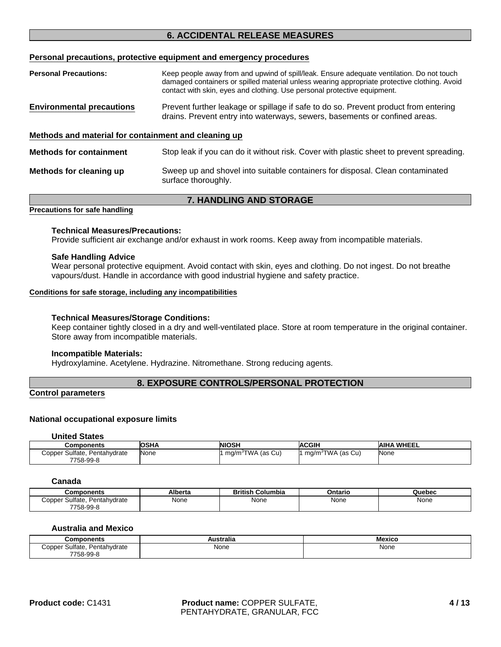# **6. ACCIDENTAL RELEASE MEASURES**

#### **Personal precautions, protective equipment and emergency procedures**

| <b>Personal Precautions:</b>                         | Keep people away from and upwind of spill/leak. Ensure adequate ventilation. Do not touch<br>damaged containers or spilled material unless wearing appropriate protective clothing. Avoid<br>contact with skin, eyes and clothing. Use personal protective equipment. |  |
|------------------------------------------------------|-----------------------------------------------------------------------------------------------------------------------------------------------------------------------------------------------------------------------------------------------------------------------|--|
| <b>Environmental precautions</b>                     | Prevent further leakage or spillage if safe to do so. Prevent product from entering<br>drains. Prevent entry into waterways, sewers, basements or confined areas.                                                                                                     |  |
| Methods and material for containment and cleaning up |                                                                                                                                                                                                                                                                       |  |
| <b>Methods for containment</b>                       | Stop leak if you can do it without risk. Cover with plastic sheet to prevent spreading.                                                                                                                                                                               |  |
| Methods for cleaning up                              | Sweep up and shovel into suitable containers for disposal. Clean contaminated<br>surface thoroughly.                                                                                                                                                                  |  |
| <b>7. HANDLING AND STORAGE</b>                       |                                                                                                                                                                                                                                                                       |  |

#### **Precautions for safe handling**

#### **Technical Measures/Precautions:**

Provide sufficient air exchange and/or exhaust in work rooms. Keep away from incompatible materials.

#### **Safe Handling Advice**

Wear personal protective equipment. Avoid contact with skin, eyes and clothing. Do not ingest. Do not breathe vapours/dust. Handle in accordance with good industrial hygiene and safety practice.

#### **Conditions for safe storage, including any incompatibilities**

#### **Technical Measures/Storage Conditions:**

Keep container tightly closed in a dry and well-ventilated place. Store at room temperature in the original container. Store away from incompatible materials.

#### **Incompatible Materials:**

Hydroxylamine. Acetylene. Hydrazine. Nitromethane. Strong reducing agents.

#### **8. EXPOSURE CONTROLS/PERSONAL PROTECTION**

#### **Control parameters**

#### **National occupational exposure limits**

#### **United States**

| <b>Components</b>                            | <b>OSHA</b> | <b>NIOSH</b>                  | <b>ACGIH</b>                  | <b>AIHA WHEEL</b> |
|----------------------------------------------|-------------|-------------------------------|-------------------------------|-------------------|
| Copper Sulfate,<br>Pentahydrate<br>7758-99-8 | None        | mg/m <sup>3</sup> TWA (as Cu) | mg/m <sup>3</sup> TWA (as Cu) | None              |

#### **Canada**

| Components                         | Alberta | British<br>Columbia | Ontario | Quebec |
|------------------------------------|---------|---------------------|---------|--------|
| Sulfate.<br>Pentahydrate<br>∴opper | None    | None                | None    | None   |
| 7758-99-8                          |         |                     |         |        |

#### **Australia and Mexico**

| <b>Components</b>                   | Australia | Mexico |
|-------------------------------------|-----------|--------|
| Sulfate.<br>copper:<br>Pentahydrate | None      | None   |
| 7758-99-ა                           |           |        |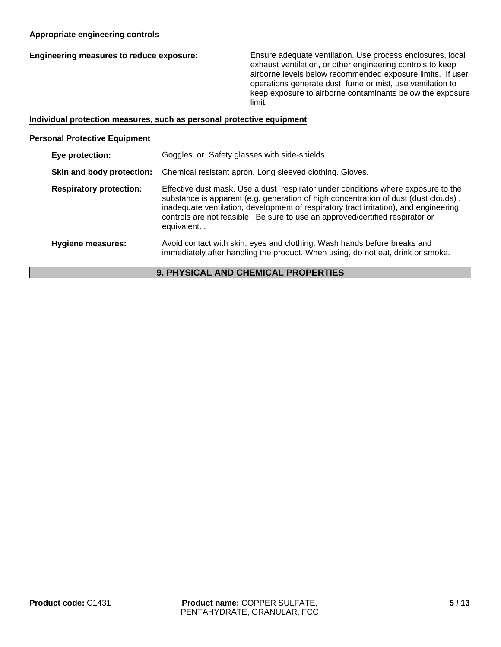### **Appropriate engineering controls**

**Engineering measures to reduce exposure:** Ensure adequate ventilation. Use process enclosures, local exhaust ventilation, or other engineering controls to keep airborne levels below recommended exposure limits. If user operations generate dust, fume or mist, use ventilation to keep exposure to airborne contaminants below the exposure limit.

#### **Individual protection measures, such as personal protective equipment**

#### **Personal Protective Equipment**

| Eye protection:                | Goggles. or. Safety glasses with side-shields.                                                                                                                                                                                                                                                                                                                   |
|--------------------------------|------------------------------------------------------------------------------------------------------------------------------------------------------------------------------------------------------------------------------------------------------------------------------------------------------------------------------------------------------------------|
| Skin and body protection:      | Chemical resistant apron. Long sleeved clothing. Gloves.                                                                                                                                                                                                                                                                                                         |
| <b>Respiratory protection:</b> | Effective dust mask. Use a dust respirator under conditions where exposure to the<br>substance is apparent (e.g. generation of high concentration of dust (dust clouds),<br>inadequate ventilation, development of respiratory tract irritation), and engineering<br>controls are not feasible. Be sure to use an approved/certified respirator or<br>equivalent |
| Hygiene measures:              | Avoid contact with skin, eyes and clothing. Wash hands before breaks and<br>immediately after handling the product. When using, do not eat, drink or smoke.                                                                                                                                                                                                      |

# **9. PHYSICAL AND CHEMICAL PROPERTIES**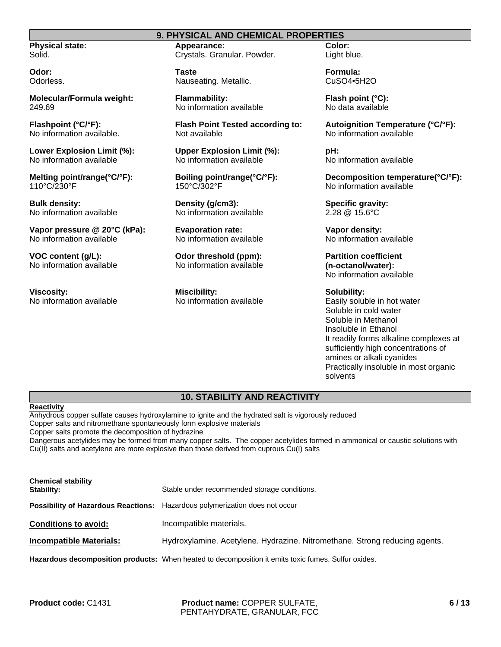# **9. PHYSICAL AND CHEMICAL PROPERTIES**

**Physical state:** Solid.

**Odor:** Odorless.

**Molecular/Formula weight:** 249.69

**Flashpoint (°C/°F):** No information available.

**Lower Explosion Limit (%):** No information available

**Melting point/range(°C/°F):** 110°C/230°F

**Bulk density:** No information available

**Vapor pressure @ 20°C (kPa):** No information available

**VOC content (g/L):** No information available

**Viscosity:** No information available **Appearance:** Crystals. Granular. Powder.

**Taste** Nauseating. Metallic.

**Flammability:** No information available

**Flash Point Tested according to:** Not available

**Upper Explosion Limit (%):** No information available

**Boiling point/range(°C/°F):** 150°C/302°F

**Density (g/cm3):** No information available

**Evaporation rate:** No information available

**Odor threshold (ppm):** No information available

**Miscibility:** No information available **Color:** Light blue.

**Formula:** CuSO4•5H2O

**Flash point (°C):** No data available

**Autoignition Temperature (°C/°F):** No information available

**pH:** No information available

**Decomposition temperature(°C/°F):** No information available

**Specific gravity:** 2.28 @ 15.6°C

**Vapor density:** No information available

**Partition coefficient (n-octanol/water):** No information available

**Solubility:** Easily soluble in hot water Soluble in cold water Soluble in Methanol Insoluble in Ethanol It readily forms alkaline complexes at sufficiently high concentrations of amines or alkali cyanides Practically insoluble in most organic solvents

#### **10. STABILITY AND REACTIVITY**

#### **Reactivity**

Anhydrous copper sulfate causes hydroxylamine to ignite and the hydrated salt is vigorously reduced Copper salts and nitromethane spontaneously form explosive materials Copper salts promote the decomposition of hydrazine

Dangerous acetylides may be formed from many copper salts. The copper acetylides formed in ammonical or caustic solutions with Cu(II) salts and acetylene are more explosive than those derived from cuprous Cu(I) salts

| <b>Chemical stability</b><br>Stability:    | Stable under recommended storage conditions.                                                        |
|--------------------------------------------|-----------------------------------------------------------------------------------------------------|
| <b>Possibility of Hazardous Reactions:</b> | Hazardous polymerization does not occur                                                             |
| <b>Conditions to avoid:</b>                | Incompatible materials.                                                                             |
| <b>Incompatible Materials:</b>             | Hydroxylamine. Acetylene. Hydrazine. Nitromethane. Strong reducing agents.                          |
|                                            | Hazardous decomposition products: When heated to decomposition it emits toxic fumes. Sulfur oxides. |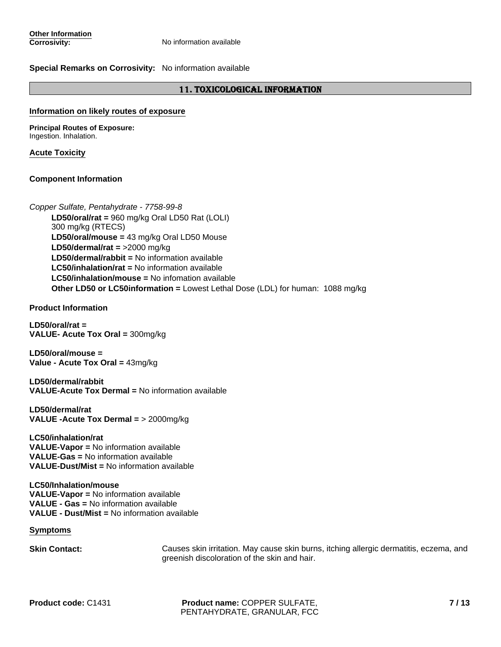#### **Special Remarks on Corrosivity:** No information available

#### 11. TOXICOLOGICAL INFORMATION

#### **Information on likely routes of exposure**

**Principal Routes of Exposure:** Ingestion. Inhalation.

#### **Acute Toxicity**

#### **Component Information**

**LC50/inhalation/mouse =** No infomation available **LD50/oral/rat =** 960 mg/kg Oral LD50 Rat (LOLI) 300 mg/kg (RTECS) **Other LD50 or LC50information =** Lowest Lethal Dose (LDL) for human: 1088 mg/kg **LD50/dermal/rat =** >2000 mg/kg *Copper Sulfate, Pentahydrate - 7758-99-8* **LD50/dermal/rabbit =** No information available **LC50/inhalation/rat =** No information available **LD50/oral/mouse =** 43 mg/kg Oral LD50 Mouse

**Product Information**

**LD50/oral/rat = VALUE- Acute Tox Oral =** 300mg/kg

**LD50/oral/mouse = Value - Acute Tox Oral =** 43mg/kg

**LD50/dermal/rabbit VALUE-Acute Tox Dermal =** No information available

**LD50/dermal/rat VALUE -Acute Tox Dermal =** > 2000mg/kg

**LC50/inhalation/rat VALUE-Vapor =** No information available **VALUE-Gas =** No information available **VALUE-Dust/Mist =** No information available

**LC50/Inhalation/mouse VALUE-Vapor =** No information available **VALUE - Gas =** No information available **VALUE - Dust/Mist =** No information available

**Symptoms**

**Skin Contact:** Causes skin irritation. May cause skin burns, itching allergic dermatitis, eczema, and greenish discoloration of the skin and hair.

**Product code:** C1431 **Product name:** COPPER SULFATE, PENTAHYDRATE, GRANULAR, FCC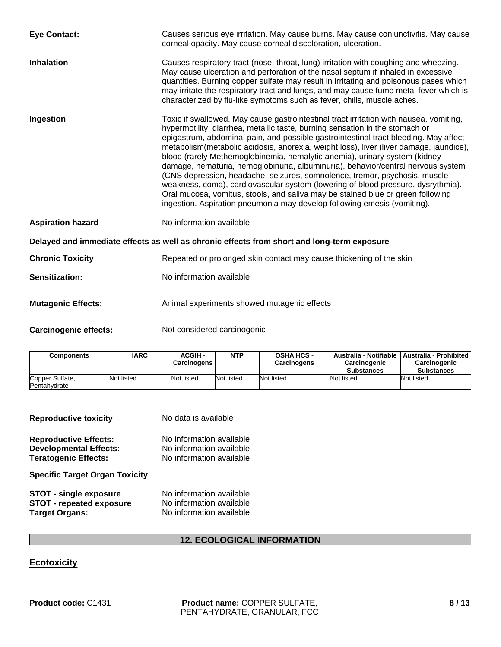| <b>Eye Contact:</b>          | Causes serious eye irritation. May cause burns. May cause conjunctivitis. May cause<br>corneal opacity. May cause corneal discoloration, ulceration.                                                                                                                                                                                                                                                                                                                                                                                                                                                                                                                                                                                                                                                                                                        |
|------------------------------|-------------------------------------------------------------------------------------------------------------------------------------------------------------------------------------------------------------------------------------------------------------------------------------------------------------------------------------------------------------------------------------------------------------------------------------------------------------------------------------------------------------------------------------------------------------------------------------------------------------------------------------------------------------------------------------------------------------------------------------------------------------------------------------------------------------------------------------------------------------|
| <b>Inhalation</b>            | Causes respiratory tract (nose, throat, lung) irritation with coughing and wheezing.<br>May cause ulceration and perforation of the nasal septum if inhaled in excessive<br>quantities. Burning copper sulfate may result in irritating and poisonous gases which<br>may irritate the respiratory tract and lungs, and may cause fume metal fever which is<br>characterized by flu-like symptoms such as fever, chills, muscle aches.                                                                                                                                                                                                                                                                                                                                                                                                                       |
| Ingestion                    | Toxic if swallowed. May cause gastrointestinal tract irritation with nausea, vomiting,<br>hypermotility, diarrhea, metallic taste, burning sensation in the stomach or<br>epigastrum, abdominal pain, and possible gastrointestinal tract bleeding. May affect<br>metabolism(metabolic acidosis, anorexia, weight loss), liver (liver damage, jaundice),<br>blood (rarely Methemoglobinemia, hemalytic anemia), urinary system (kidney<br>damage, hematuria, hemoglobinuria, albuminuria), behavior/central nervous system<br>(CNS depression, headache, seizures, somnolence, tremor, psychosis, muscle<br>weakness, coma), cardiovascular system (lowering of blood pressure, dysrythmia).<br>Oral mucosa, vomitus, stools, and saliva may be stained blue or green following<br>ingestion. Aspiration pneumonia may develop following emesis (vomiting). |
| <b>Aspiration hazard</b>     | No information available                                                                                                                                                                                                                                                                                                                                                                                                                                                                                                                                                                                                                                                                                                                                                                                                                                    |
|                              | Delayed and immediate effects as well as chronic effects from short and long-term exposure                                                                                                                                                                                                                                                                                                                                                                                                                                                                                                                                                                                                                                                                                                                                                                  |
| <b>Chronic Toxicity</b>      | Repeated or prolonged skin contact may cause thickening of the skin                                                                                                                                                                                                                                                                                                                                                                                                                                                                                                                                                                                                                                                                                                                                                                                         |
| <b>Sensitization:</b>        | No information available                                                                                                                                                                                                                                                                                                                                                                                                                                                                                                                                                                                                                                                                                                                                                                                                                                    |
| <b>Mutagenic Effects:</b>    | Animal experiments showed mutagenic effects                                                                                                                                                                                                                                                                                                                                                                                                                                                                                                                                                                                                                                                                                                                                                                                                                 |
| <b>Carcinogenic effects:</b> | Not considered carcinogenic                                                                                                                                                                                                                                                                                                                                                                                                                                                                                                                                                                                                                                                                                                                                                                                                                                 |

| <b>Components</b>               | <b>IARC</b> | ACGIH -<br><b>Carcinogens</b> | NTP        | <b>OSHA HCS -</b><br><b>Carcinogens</b> | Carcinogenic<br><b>Substances</b> | Australia - Notifiable   Australia - Prohibited  <br><b>Carcinogenic</b><br><b>Substances</b> |
|---------------------------------|-------------|-------------------------------|------------|-----------------------------------------|-----------------------------------|-----------------------------------------------------------------------------------------------|
| Copper Sulfate,<br>Pentahydrate | Not listed  | Not listed                    | Not listed | Not listed                              | Not listed                        | Not listed                                                                                    |

| <b>Reproductive toxicity</b>                                                                 | No data is available                                                             |
|----------------------------------------------------------------------------------------------|----------------------------------------------------------------------------------|
| <b>Reproductive Effects:</b><br><b>Developmental Effects:</b><br><b>Teratogenic Effects:</b> | No information available<br>No information available<br>No information available |
| <b>Specific Target Organ Toxicity</b>                                                        |                                                                                  |

| <b>STOT - single exposure</b> | No information available |
|-------------------------------|--------------------------|
| STOT - repeated exposure      | No information available |
| <b>Target Organs:</b>         | No information available |

# **12. ECOLOGICAL INFORMATION**

# **Ecotoxicity**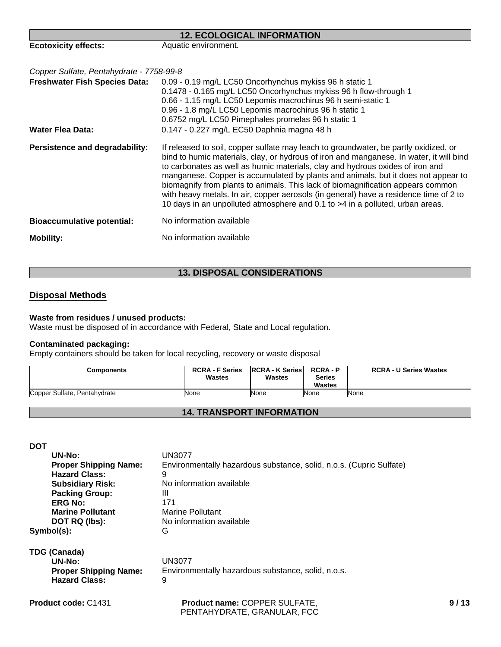| <b>12. ECOLOGICAL INFORMATION</b>        |                                                                                                                                                                                                                                                                                                                                                                                                                                                                                                                                                                                                                    |  |
|------------------------------------------|--------------------------------------------------------------------------------------------------------------------------------------------------------------------------------------------------------------------------------------------------------------------------------------------------------------------------------------------------------------------------------------------------------------------------------------------------------------------------------------------------------------------------------------------------------------------------------------------------------------------|--|
| <b>Ecotoxicity effects:</b>              | Aquatic environment.                                                                                                                                                                                                                                                                                                                                                                                                                                                                                                                                                                                               |  |
| Copper Sulfate, Pentahydrate - 7758-99-8 |                                                                                                                                                                                                                                                                                                                                                                                                                                                                                                                                                                                                                    |  |
| <b>Freshwater Fish Species Data:</b>     | 0.09 - 0.19 mg/L LC50 Oncorhynchus mykiss 96 h static 1<br>0.1478 - 0.165 mg/L LC50 Oncorhynchus mykiss 96 h flow-through 1<br>0.66 - 1.15 mg/L LC50 Lepomis macrochirus 96 h semi-static 1<br>0.96 - 1.8 mg/L LC50 Lepomis macrochirus 96 h static 1<br>0.6752 mg/L LC50 Pimephales promelas 96 h static 1                                                                                                                                                                                                                                                                                                        |  |
| <b>Water Flea Data:</b>                  | 0.147 - 0.227 mg/L EC50 Daphnia magna 48 h                                                                                                                                                                                                                                                                                                                                                                                                                                                                                                                                                                         |  |
| Persistence and degradability:           | If released to soil, copper sulfate may leach to groundwater, be partly oxidized, or<br>bind to humic materials, clay, or hydrous of iron and manganese. In water, it will bind<br>to carbonates as well as humic materials, clay and hydrous oxides of iron and<br>manganese. Copper is accumulated by plants and animals, but it does not appear to<br>biomagnify from plants to animals. This lack of biomagnification appears common<br>with heavy metals. In air, copper aerosols (in general) have a residence time of 2 to<br>10 days in an unpolluted atmosphere and 0.1 to >4 in a polluted, urban areas. |  |
| <b>Bioaccumulative potential:</b>        | No information available                                                                                                                                                                                                                                                                                                                                                                                                                                                                                                                                                                                           |  |
| <b>Mobility:</b>                         | No information available                                                                                                                                                                                                                                                                                                                                                                                                                                                                                                                                                                                           |  |

# **13. DISPOSAL CONSIDERATIONS**

# **Disposal Methods**

#### **Waste from residues / unused products:**

Waste must be disposed of in accordance with Federal, State and Local regulation.

#### **Contaminated packaging:**

Empty containers should be taken for local recycling, recovery or waste disposal

| Components                   | <b>RCRA - F Series</b><br><b>Wastes</b> | <b>IRCRA - K Series</b><br><b>Wastes</b> | <b>RCRA-P</b><br><b>Series</b><br><b>Wastes</b> | <b>RCRA - U Series Wastes</b> |
|------------------------------|-----------------------------------------|------------------------------------------|-------------------------------------------------|-------------------------------|
| Copper Sulfate, Pentahydrate | None                                    | None                                     | None                                            | None                          |

# **14. TRANSPORT INFORMATION**

**DOT**

| UN-No:                       | UN3077                                                              |
|------------------------------|---------------------------------------------------------------------|
| <b>Proper Shipping Name:</b> | Environmentally hazardous substance, solid, n.o.s. (Cupric Sulfate) |
| <b>Hazard Class:</b>         | 9                                                                   |
| <b>Subsidiary Risk:</b>      | No information available                                            |
| <b>Packing Group:</b>        | Ш                                                                   |
| <b>ERG No:</b>               | 171                                                                 |
| <b>Marine Pollutant</b>      | Marine Pollutant                                                    |
| DOT RQ (lbs):                | No information available                                            |
| Symbol(s):                   | G                                                                   |

**TDG (Canada) UN-No:** UN3077<br>**Proper Shipping Name:** Environn **Hazard Class:** 9

Environmentally hazardous substance, solid, n.o.s.

**Product code:** C1431

**Product name:** COPPER SULFATE, PENTAHYDRATE, GRANULAR, FCC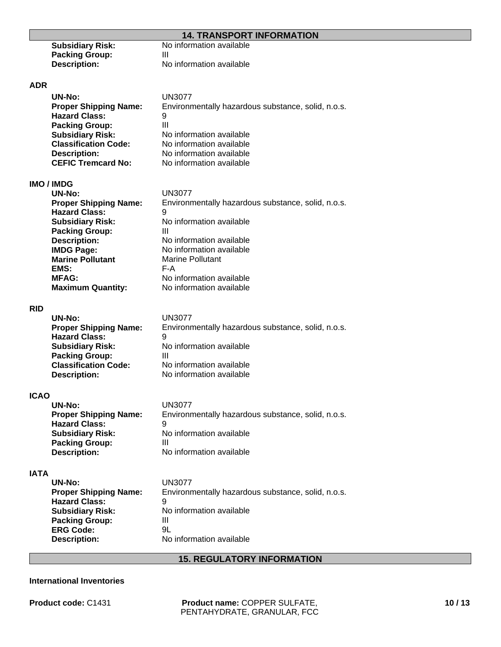### **14. TRANSPORT INFORMATION**

| <b>Subsidiary Risk:</b> | No information available |
|-------------------------|--------------------------|
| <b>Packing Group:</b>   | Ш                        |
| <b>Description:</b>     | No information available |

#### **ADR**

| UN-No:                       | <b>UN3077</b>                                      |
|------------------------------|----------------------------------------------------|
| <b>Proper Shipping Name:</b> | Environmentally hazardous substance, solid, n.o.s. |
| <b>Hazard Class:</b>         | 9                                                  |
| <b>Packing Group:</b>        | Ш                                                  |
| <b>Subsidiary Risk:</b>      | No information available                           |
| <b>Classification Code:</b>  | No information available                           |
| <b>Description:</b>          | No information available                           |
| <b>CEFIC Tremcard No:</b>    | No information available                           |

# **IMO / IMDG**

| <b>UN-No:</b>                | UN3077                                             |
|------------------------------|----------------------------------------------------|
| <b>Proper Shipping Name:</b> | Environmentally hazardous substance, solid, n.o.s. |
| <b>Hazard Class:</b>         | 9                                                  |
| <b>Subsidiary Risk:</b>      | No information available                           |
| <b>Packing Group:</b>        | Ш                                                  |
| <b>Description:</b>          | No information available                           |
| <b>IMDG Page:</b>            | No information available                           |
| <b>Marine Pollutant</b>      | Marine Pollutant                                   |
| EMS:                         | F-A                                                |
| <b>MFAG:</b>                 | No information available                           |
| <b>Maximum Quantity:</b>     | No information available                           |
|                              |                                                    |

#### **RID**

| <b>UN-No:</b>                | <b>UN3077</b>                                      |
|------------------------------|----------------------------------------------------|
| <b>Proper Shipping Name:</b> | Environmentally hazardous substance, solid, n.o.s. |
| <b>Hazard Class:</b>         | 9                                                  |
| <b>Subsidiary Risk:</b>      | No information available                           |
| <b>Packing Group:</b>        | Ш                                                  |
| <b>Classification Code:</b>  | No information available                           |
| <b>Description:</b>          | No information available                           |
|                              |                                                    |

#### **ICAO**

| UN-No:                       | <b>UN3077</b>                                      |
|------------------------------|----------------------------------------------------|
| <b>Proper Shipping Name:</b> | Environmentally hazardous substance, solid, n.o.s. |
| <b>Hazard Class:</b>         | 9                                                  |
| <b>Subsidiary Risk:</b>      | No information available                           |
| <b>Packing Group:</b>        | Ш                                                  |
| <b>Description:</b>          | No information available                           |

#### **IATA**

| UN3077                                             |
|----------------------------------------------------|
| Environmentally hazardous substance, solid, n.o.s. |
| 9                                                  |
| No information available                           |
| Ш                                                  |
| 9L                                                 |
| No information available                           |
|                                                    |

#### **15. REGULATORY INFORMATION**

#### **International Inventories**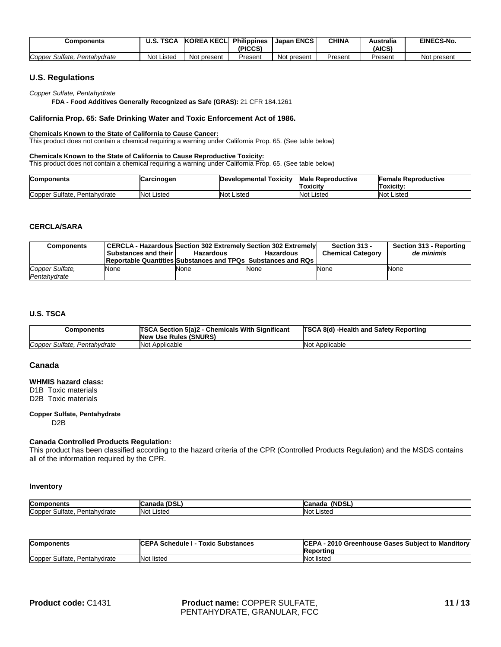| Components                         | <b>TSCA</b><br><b>U.S.</b> | <b>KOREA KECLI</b> | <b>Philippines</b><br>(PICCS) | <b>Japan ENCS</b> | <b>CHINA</b> | Australia<br>(AICS | EINECS-No.  |
|------------------------------------|----------------------------|--------------------|-------------------------------|-------------------|--------------|--------------------|-------------|
| Copper<br>Sulfate.<br>Pentahydrate | Listed<br>Not '            | Not present        | Present                       | Not present       | Present      | Present            | Not present |

#### **U.S. Regulations**

*Copper Sulfate, Pentahydrate*

**FDA - Food Additives Generally Recognized as Safe (GRAS):** 21 CFR 184.1261

#### **California Prop. 65: Safe Drinking Water and Toxic Enforcement Act of 1986.**

#### **Chemicals Known to the State of California to Cause Cancer:**

This product does not contain a chemical requiring a warning under California Prop. 65. (See table below)

#### **Chemicals Known to the State of California to Cause Reproductive Toxicity:**

This product does not contain a chemical requiring a warning under California Prop. 65. (See table below)

| <b>Components</b>               | Carcinogen | Developmental Toxicity | <b>Male Reproductive</b><br>Toxicity | <b>Female Reproductive</b><br>Toxicity: |
|---------------------------------|------------|------------------------|--------------------------------------|-----------------------------------------|
| Copper Sulfate,<br>Pentahydrate | Not Listed | Not Listed             | Listed<br>Not                        | <b>Not Listed</b>                       |

#### **CERCLA/SARA**

| <b>Components</b>               | <b>Substances and their</b> | CERCLA - Hazardous Section 302 Extremely Section 302 Extremely<br><b>Hazardous</b><br><b>Reportable Quantities Substances and TPQs Substances and RQs</b> | <b>Hazardous</b> | Section 313 -<br><b>Chemical Category</b> | Section 313 - Reporting<br>de minimis |
|---------------------------------|-----------------------------|-----------------------------------------------------------------------------------------------------------------------------------------------------------|------------------|-------------------------------------------|---------------------------------------|
| Copper Sulfate,<br>Pentahvdrate | None                        | None                                                                                                                                                      | None             | None                                      | None                                  |

#### **U.S. TSCA**

| Components                   | <b>TSCA Section 5(a)2 - Chemicals With Significant</b><br><b>New Use Rules (SNURS)</b> | <b>TSCA 8(d) -Health and Safety Reporting</b> |
|------------------------------|----------------------------------------------------------------------------------------|-----------------------------------------------|
| Copper Sulfate, Pentahydrate | Not Applicable                                                                         | <b>Not Applicable</b>                         |

#### **Canada**

#### **WHMIS hazard class:**

D1B Toxic materials D2B Toxic materials

#### **Copper Sulfate, Pentahydrate**

D2B

#### **Canada Controlled Products Regulation:**

This product has been classified according to the hazard criteria of the CPR (Controlled Products Regulation) and the MSDS contains all of the information required by the CPR.

#### **Inventory**

| Comr<br>------                          | וכט<br>udildur -     | $.$ (NDS)<br>$\cdots$<br>andu.<br>՝ |
|-----------------------------------------|----------------------|-------------------------------------|
| Copper<br>ntahvdrate<br>Sultate<br>. In | <b>INo</b><br>≒isteo | Not<br>Listed                       |

| <b>Components</b>            | <b>ICEPA Schedule I - Toxic Substances</b> | CEPA - 2010 Greenhouse Gases Subject to Manditory<br>Reporting |
|------------------------------|--------------------------------------------|----------------------------------------------------------------|
| Copper Sulfate, Pentahydrate | <b>Not listed</b>                          | Not listed                                                     |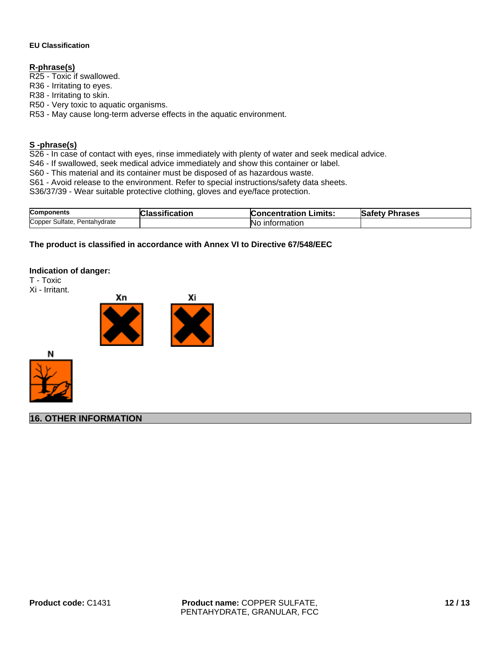#### **EU Classification**

#### **R-phrase(s)**

R25 - Toxic if swallowed.

R36 - Irritating to eyes.

R38 - Irritating to skin.

R50 - Very toxic to aquatic organisms.

R53 - May cause long-term adverse effects in the aquatic environment.

#### **S -phrase(s)**

S26 - In case of contact with eyes, rinse immediately with plenty of water and seek medical advice.

S46 - If swallowed, seek medical advice immediately and show this container or label.

S60 - This material and its container must be disposed of as hazardous waste.

S61 - Avoid release to the environment. Refer to special instructions/safety data sheets.

S36/37/39 - Wear suitable protective clothing, gloves and eye/face protection.

| <b>Components</b>                  | $- -$   | Limits:              | Safety         |
|------------------------------------|---------|----------------------|----------------|
|                                    | ication | <b>Concentration</b> | <b>Phrases</b> |
| Copper<br>Sulfate,<br>Pentahydrate |         | information<br>NC.   |                |

#### **The product is classified in accordance with Annex VI to Directive 67/548/EEC**

#### **Indication of danger:**

T - Toxic







**16. OTHER INFORMATION**